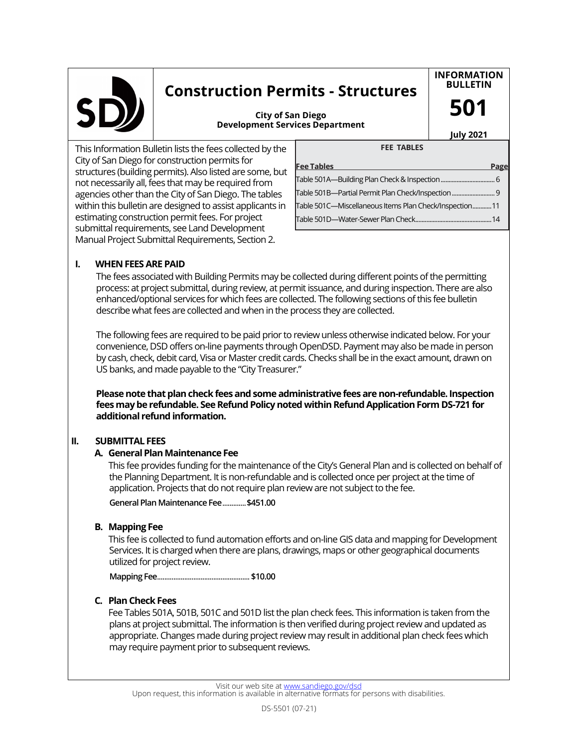

# **Construction Permits - Structures**

**INFORMATION BULLETIN**

**Development Services Department City of San Diego**

**July 2021**

**501**

This Information Bulletin lists the fees collected by the City of San Diego for construction permits for structures (building permits). Also listed are some, but not necessarily all, fees that may be required from agencies other than the City of San Diego. The tables within this bulletin are designed to assist applicants in estimating construction permit fees. For project submittal requirements, see Land Development Manual Project Submittal Requirements, Section 2.

| .                                                      |      |
|--------------------------------------------------------|------|
| <b>Fee Tables</b>                                      | Page |
|                                                        |      |
|                                                        |      |
| Table 501C-Miscellaneous Items Plan Check/Inspection11 |      |
|                                                        |      |
|                                                        |      |

**FEE TABLES**

## **I. WHEN FEES ARE PAID**

The fees associated with Building Permits may be collected during different points of the permitting process: at project submittal, during review, at permit issuance, and during inspection. There are also enhanced/optional services for which fees are collected. The following sections of this fee bulletin describe what fees are collected and when in the process they are collected.

The following fees are required to be paid prior to review unless otherwise indicated below. For your convenience, DSD offers on-line payments through OpenDSD. Payment may also be made in person by cash, check, debit card, Visa or Master credit cards. Checks shall be in the exact amount, drawn on US banks, and made payable to the "City Treasurer."

**Please note that plan check fees and some administrative fees are non-refundable. Inspection fees may be refundable. See Refund Policy noted within Refund Application Form DS-721 for additional refund information.**

#### **II. SUBMITTAL FEES**

#### **A. General Plan Maintenance Fee**

This fee provides funding for the maintenance of the City's General Plan and is collected on behalf of the Planning Department. It is non-refundable and is collected once per project at the time of application. Projects that do not require plan review are not subject to the fee.

**General Plan Maintenance Fee**.............**\$451.00**

#### **B. Mapping Fee**

This fee is collected to fund automation efforts and on-line GIS data and mapping for Development Services. It is charged when there are plans, drawings, maps or other geographical documents utilized for project review.

**Mapping Fee**................................................... **\$10.00**

## **C. Plan Check Fees**

Fee Tables 501A, 501B, 501C and 501D list the plan check fees. This information is taken from the plans at project submittal. The information is then verified during project review and updated as appropriate. Changes made during project review may result in additional plan check fees which may require payment prior to subsequent reviews.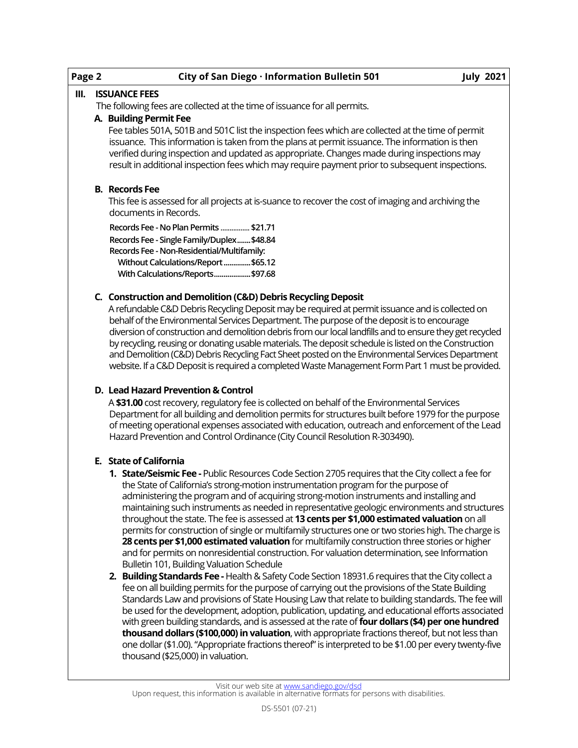| Page 2 | City of San Diego · Information Bulletin 501                                                                                                                                                                                                                                                                                                                                                         | <b>July 2021</b> |
|--------|------------------------------------------------------------------------------------------------------------------------------------------------------------------------------------------------------------------------------------------------------------------------------------------------------------------------------------------------------------------------------------------------------|------------------|
| III.   | <b>ISSUANCE FEES</b>                                                                                                                                                                                                                                                                                                                                                                                 |                  |
|        | The following fees are collected at the time of issuance for all permits.                                                                                                                                                                                                                                                                                                                            |                  |
|        | A. Building Permit Fee                                                                                                                                                                                                                                                                                                                                                                               |                  |
|        | Fee tables 501A, 501B and 501C list the inspection fees which are collected at the time of permit<br>issuance. This information is taken from the plans at permit issuance. The information is then<br>verified during inspection and updated as appropriate. Changes made during inspections may<br>result in additional inspection fees which may require payment prior to subsequent inspections. |                  |
|        | <b>B.</b> Records Fee                                                                                                                                                                                                                                                                                                                                                                                |                  |
|        | This fee is assessed for all projects at is-suance to recover the cost of imaging and archiving the<br>documents in Records.                                                                                                                                                                                                                                                                         |                  |
|        | Records Fee - No Plan Permits  \$21.71                                                                                                                                                                                                                                                                                                                                                               |                  |
|        | Records Fee - Single Family/Duplex \$48.84                                                                                                                                                                                                                                                                                                                                                           |                  |
|        | Records Fee - Non-Residential/Multifamily:                                                                                                                                                                                                                                                                                                                                                           |                  |
|        | Without Calculations/Report \$65.12<br>With Calculations/Reports\$97.68                                                                                                                                                                                                                                                                                                                              |                  |
|        | C. Construction and Demolition (C&D) Debris Recycling Deposit                                                                                                                                                                                                                                                                                                                                        |                  |
|        | A refundable C&D Debris Recycling Deposit may be required at permit issuance and is collected on                                                                                                                                                                                                                                                                                                     |                  |
|        | behalf of the Environmental Services Department. The purpose of the deposit is to encourage                                                                                                                                                                                                                                                                                                          |                  |
|        | diversion of construction and demolition debris from our local landfills and to ensure they get recycled<br>by recycling, reusing or donating usable materials. The deposit schedule is listed on the Construction                                                                                                                                                                                   |                  |
|        | and Demolition (C&D) Debris Recycling Fact Sheet posted on the Environmental Services Department                                                                                                                                                                                                                                                                                                     |                  |
|        | website. If a C&D Deposit is required a completed Waste Management Form Part 1 must be provided.                                                                                                                                                                                                                                                                                                     |                  |
|        | D. Lead Hazard Prevention & Control                                                                                                                                                                                                                                                                                                                                                                  |                  |
|        | A \$31.00 cost recovery, regulatory fee is collected on behalf of the Environmental Services                                                                                                                                                                                                                                                                                                         |                  |
|        | Department for all building and demolition permits for structures built before 1979 for the purpose<br>of meeting operational expenses associated with education, outreach and enforcement of the Lead                                                                                                                                                                                               |                  |
|        | Hazard Prevention and Control Ordinance (City Council Resolution R-303490).                                                                                                                                                                                                                                                                                                                          |                  |
|        |                                                                                                                                                                                                                                                                                                                                                                                                      |                  |
|        |                                                                                                                                                                                                                                                                                                                                                                                                      |                  |

- **E. State of California**
	- **1. State/Seismic Fee -** Public Resources Code Section 2705 requires that the City collect a fee for the State of California's strong-motion instrumentation program for the purpose of administering the program and of acquiring strong-motion instruments and installing and maintaining such instruments as needed in representative geologic environments and structures throughout the state. The fee is assessed at **13 cents per \$1,000 estimated valuation** on all permits for construction of single or multifamily structures one or two stories high. The charge is **28 cents per \$1,000 estimated valuation** for multifamily construction three stories or higher and for permits on nonresidential construction. For valuation determination, see Information Bulletin 101, Building Valuation Schedule
	- **2. Building Standards Fee -** Health & Safety Code Section 18931.6 requires that the City collect a fee on all building permits for the purpose of carrying out the provisions of the State Building Standards Law and provisions of State Housing Law that relate to building standards. The fee will be used for the development, adoption, publication, updating, and educational efforts associated with green building standards, and is assessed at the rate of **four dollars (\$4) per one hundred thousand dollars (\$100,000) in valuation**, with appropriate fractions thereof, but not less than one dollar (\$1.00). "Appropriate fractions thereof" is interpreted to be \$1.00 per every twenty-five thousand (\$25,000) in valuation.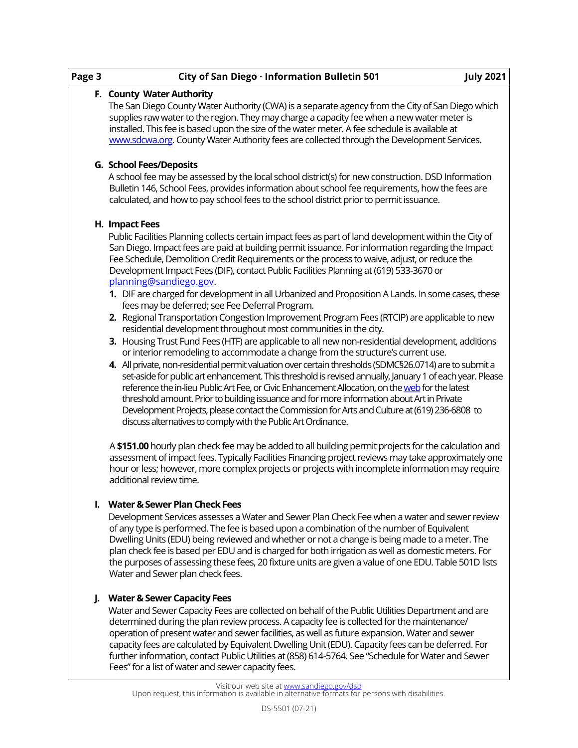| Page 3 | City of San Diego · Information Bulletin 501<br><b>July 2021</b>                                                                                                                                                                                                                                                                                                                                                                                                                                                                                                                                                                                                                                                                                                                                                                                                                                                                                                                                                                                                                                                                                                                                                                                                                                                                                                                                                                                                                                                                                                 |
|--------|------------------------------------------------------------------------------------------------------------------------------------------------------------------------------------------------------------------------------------------------------------------------------------------------------------------------------------------------------------------------------------------------------------------------------------------------------------------------------------------------------------------------------------------------------------------------------------------------------------------------------------------------------------------------------------------------------------------------------------------------------------------------------------------------------------------------------------------------------------------------------------------------------------------------------------------------------------------------------------------------------------------------------------------------------------------------------------------------------------------------------------------------------------------------------------------------------------------------------------------------------------------------------------------------------------------------------------------------------------------------------------------------------------------------------------------------------------------------------------------------------------------------------------------------------------------|
|        | F. County Water Authority<br>The San Diego County Water Authority (CWA) is a separate agency from the City of San Diego which<br>supplies raw water to the region. They may charge a capacity fee when a new water meter is<br>installed. This fee is based upon the size of the water meter. A fee schedule is available at<br>www.sdcwa.org. County Water Authority fees are collected through the Development Services.                                                                                                                                                                                                                                                                                                                                                                                                                                                                                                                                                                                                                                                                                                                                                                                                                                                                                                                                                                                                                                                                                                                                       |
|        | <b>G. School Fees/Deposits</b><br>A school fee may be assessed by the local school district(s) for new construction. DSD Information<br>Bulletin 146, School Fees, provides information about school fee requirements, how the fees are<br>calculated, and how to pay school fees to the school district prior to permit issuance.                                                                                                                                                                                                                                                                                                                                                                                                                                                                                                                                                                                                                                                                                                                                                                                                                                                                                                                                                                                                                                                                                                                                                                                                                               |
|        | H. Impact Fees<br>Public Facilities Planning collects certain impact fees as part of land development within the City of<br>San Diego. Impact fees are paid at building permit issuance. For information regarding the Impact<br>Fee Schedule, Demolition Credit Requirements or the process to waive, adjust, or reduce the<br>Development Impact Fees (DIF), contact Public Facilities Planning at (619) 533-3670 or<br>planning@sandiego.gov.<br>1. DIF are charged for development in all Urbanized and Proposition A Lands. In some cases, these<br>fees may be deferred; see Fee Deferral Program.<br>2. Regional Transportation Congestion Improvement Program Fees (RTCIP) are applicable to new<br>residential development throughout most communities in the city.<br>3. Housing Trust Fund Fees (HTF) are applicable to all new non-residential development, additions<br>or interior remodeling to accommodate a change from the structure's current use.<br>4. All private, non-residential permit valuation over certain thresholds (SDMC§26.0714) are to submit a<br>set-aside for public art enhancement. This threshold is revised annually, January 1 of each year. Please<br>reference the in-lieu Public Art Fee, or Civic Enhancement Allocation, on the web for the latest<br>threshold amount. Prior to building issuance and for more information about Art in Private<br>Development Projects, please contact the Commission for Arts and Culture at (619) 236-6808 to<br>discuss alternatives to comply with the Public Art Ordinance. |
|        | A \$151.00 hourly plan check fee may be added to all building permit projects for the calculation and<br>assessment of impact fees. Typically Facilities Financing project reviews may take approximately one<br>hour or less; however, more complex projects or projects with incomplete information may require<br>additional review time.                                                                                                                                                                                                                                                                                                                                                                                                                                                                                                                                                                                                                                                                                                                                                                                                                                                                                                                                                                                                                                                                                                                                                                                                                     |
|        | I. Water & Sewer Plan Check Fees<br>Development Services assesses a Water and Sewer Plan Check Fee when a water and sewer review<br>of any type is performed. The fee is based upon a combination of the number of Equivalent<br>Dwelling Units (EDU) being reviewed and whether or not a change is being made to a meter. The<br>plan check fee is based per EDU and is charged for both irrigation as well as domestic meters. For<br>the purposes of assessing these fees, 20 fixture units are given a value of one EDU. Table 501D lists<br>Water and Sewer plan check fees.                                                                                                                                                                                                                                                                                                                                                                                                                                                                                                                                                                                                                                                                                                                                                                                                                                                                                                                                                                                |
| L.     | <b>Water &amp; Sewer Capacity Fees</b><br>Water and Sewer Capacity Fees are collected on behalf of the Public Utilities Department and are<br>determined during the plan review process. A capacity fee is collected for the maintenance/<br>operation of present water and sewer facilities, as well as future expansion. Water and sewer                                                                                                                                                                                                                                                                                                                                                                                                                                                                                                                                                                                                                                                                                                                                                                                                                                                                                                                                                                                                                                                                                                                                                                                                                       |

further information, contact Public Utilities at (858) 614-5764. See "Schedule for Water and Sewer Fees" for a list of water and sewer capacity fees.

capacity fees are calculated by Equivalent Dwelling Unit (EDU). Capacity fees can be deferred. For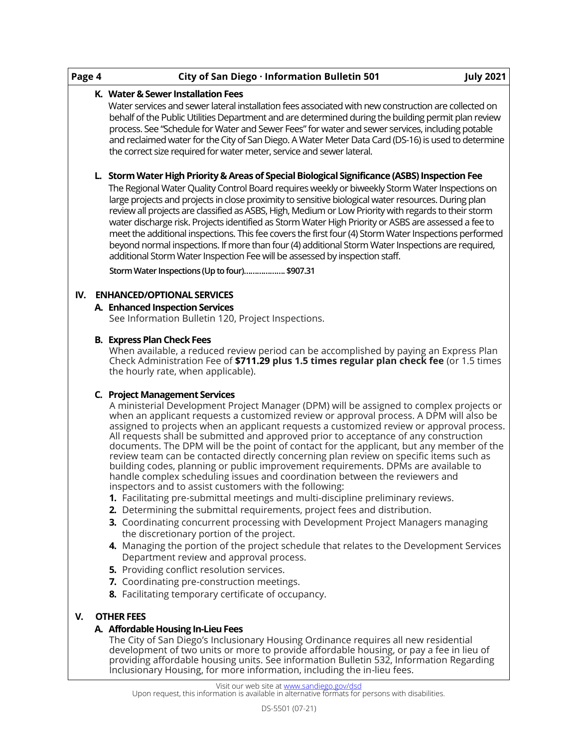| Page 4 | City of San Diego · Information Bulletin 501<br><b>July 2021</b>                                                                                                                                                                                                                                                                                                                                                                                                                                                                                                                                                                                                                                                                                                                                                                                                                                                                                                                                                                                                                                                                                                                                                                                                                                                                                                  |
|--------|-------------------------------------------------------------------------------------------------------------------------------------------------------------------------------------------------------------------------------------------------------------------------------------------------------------------------------------------------------------------------------------------------------------------------------------------------------------------------------------------------------------------------------------------------------------------------------------------------------------------------------------------------------------------------------------------------------------------------------------------------------------------------------------------------------------------------------------------------------------------------------------------------------------------------------------------------------------------------------------------------------------------------------------------------------------------------------------------------------------------------------------------------------------------------------------------------------------------------------------------------------------------------------------------------------------------------------------------------------------------|
|        | K. Water & Sewer Installation Fees                                                                                                                                                                                                                                                                                                                                                                                                                                                                                                                                                                                                                                                                                                                                                                                                                                                                                                                                                                                                                                                                                                                                                                                                                                                                                                                                |
|        | Water services and sewer lateral installation fees associated with new construction are collected on<br>behalf of the Public Utilities Department and are determined during the building permit plan review<br>process. See "Schedule for Water and Sewer Fees" for water and sewer services, including potable<br>and reclaimed water for the City of San Diego. A Water Meter Data Card (DS-16) is used to determine<br>the correct size required for water meter, service and sewer lateral.                                                                                                                                                                                                                                                                                                                                                                                                                                                                                                                                                                                                                                                                                                                                                                                                                                                                   |
|        | L. Storm Water High Priority & Areas of Special Biological Significance (ASBS) Inspection Fee<br>The Regional Water Quality Control Board requires weekly or biweekly Storm Water Inspections on<br>large projects and projects in close proximity to sensitive biological water resources. During plan<br>review all projects are classified as ASBS, High, Medium or Low Priority with regards to their storm<br>water discharge risk. Projects identified as Storm Water High Priority or ASBS are assessed a fee to<br>meet the additional inspections. This fee covers the first four (4) Storm Water Inspections performed<br>beyond normal inspections. If more than four (4) additional Storm Water Inspections are required,<br>additional Storm Water Inspection Fee will be assessed by inspection staff.<br>Storm Water Inspections (Up to four) \$907.31                                                                                                                                                                                                                                                                                                                                                                                                                                                                                             |
|        | IV. ENHANCED/OPTIONAL SERVICES                                                                                                                                                                                                                                                                                                                                                                                                                                                                                                                                                                                                                                                                                                                                                                                                                                                                                                                                                                                                                                                                                                                                                                                                                                                                                                                                    |
|        | A. Enhanced Inspection Services                                                                                                                                                                                                                                                                                                                                                                                                                                                                                                                                                                                                                                                                                                                                                                                                                                                                                                                                                                                                                                                                                                                                                                                                                                                                                                                                   |
|        | See Information Bulletin 120, Project Inspections.                                                                                                                                                                                                                                                                                                                                                                                                                                                                                                                                                                                                                                                                                                                                                                                                                                                                                                                                                                                                                                                                                                                                                                                                                                                                                                                |
|        | When available, a reduced review period can be accomplished by paying an Express Plan<br>Check Administration Fee of \$711.29 plus 1.5 times regular plan check fee (or 1.5 times<br>the hourly rate, when applicable).                                                                                                                                                                                                                                                                                                                                                                                                                                                                                                                                                                                                                                                                                                                                                                                                                                                                                                                                                                                                                                                                                                                                           |
|        | C. Project Management Services<br>A ministerial Development Project Manager (DPM) will be assigned to complex projects or<br>when an applicant requests a customized review or approval process. A DPM will also be<br>assigned to projects when an applicant requests a customized review or approval process.<br>All requests shall be submitted and approved prior to acceptance of any construction<br>documents. The DPM will be the point of contact for the applicant, but any member of the<br>review team can be contacted directly concerning plan review on specific items such as<br>building codes, planning or public improvement requirements. DPMs are available to<br>handle complex scheduling issues and coordination between the reviewers and<br>inspectors and to assist customers with the following:<br>1. Facilitating pre-submittal meetings and multi-discipline preliminary reviews.<br>2. Determining the submittal requirements, project fees and distribution.<br>3. Coordinating concurrent processing with Development Project Managers managing<br>the discretionary portion of the project.<br>4. Managing the portion of the project schedule that relates to the Development Services<br>Department review and approval process.<br>5. Providing conflict resolution services.<br>7. Coordinating pre-construction meetings. |
|        | 8. Facilitating temporary certificate of occupancy.                                                                                                                                                                                                                                                                                                                                                                                                                                                                                                                                                                                                                                                                                                                                                                                                                                                                                                                                                                                                                                                                                                                                                                                                                                                                                                               |
| V.     | <b>OTHER FEES</b><br>A. Affordable Housing In-Lieu Fees<br>The City of San Diego's Inclusionary Housing Ordinance requires all new residential                                                                                                                                                                                                                                                                                                                                                                                                                                                                                                                                                                                                                                                                                                                                                                                                                                                                                                                                                                                                                                                                                                                                                                                                                    |

The City of San Diego's Inclusionary Housing Ordinance requires all new residential development of two units or more to provide affordable housing, or pay a fee in lieu of providing affordable housing units. See information Bulletin 532, Information Regarding Inclusionary Housing, for more information, including the in-lieu fees.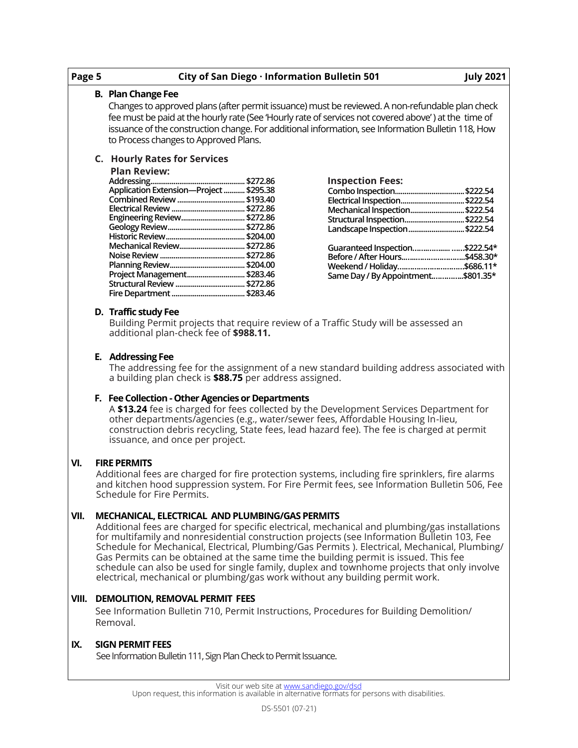| Page 5 |                                                                                                                                                                                                                                                                                                                                                                                                                                                                                                                                                                                                                            | City of San Diego · Information Bulletin 501<br><b>July 2021</b>                                                                                                                                                                                                                                                                                       |  |  |  |  |  |  |  |
|--------|----------------------------------------------------------------------------------------------------------------------------------------------------------------------------------------------------------------------------------------------------------------------------------------------------------------------------------------------------------------------------------------------------------------------------------------------------------------------------------------------------------------------------------------------------------------------------------------------------------------------------|--------------------------------------------------------------------------------------------------------------------------------------------------------------------------------------------------------------------------------------------------------------------------------------------------------------------------------------------------------|--|--|--|--|--|--|--|
|        |                                                                                                                                                                                                                                                                                                                                                                                                                                                                                                                                                                                                                            | <b>B. Plan Change Fee</b>                                                                                                                                                                                                                                                                                                                              |  |  |  |  |  |  |  |
|        |                                                                                                                                                                                                                                                                                                                                                                                                                                                                                                                                                                                                                            | Changes to approved plans (after permit issuance) must be reviewed. A non-refundable plan check<br>fee must be paid at the hourly rate (See 'Hourly rate of services not covered above') at the time of<br>issuance of the construction change. For additional information, see Information Bulletin 118, How<br>to Process changes to Approved Plans. |  |  |  |  |  |  |  |
|        |                                                                                                                                                                                                                                                                                                                                                                                                                                                                                                                                                                                                                            | <b>C.</b> Hourly Rates for Services<br><b>Plan Review:</b><br><b>Inspection Fees:</b><br>Application Extension-Project  \$295.38<br>Electrical Inspection \$222.54<br>Mechanical Inspection \$222.54<br>Engineering Review \$272.86<br>Structural Inspection\$222.54<br>Landscape Inspection\$222.54<br>Guaranteed Inspection\$222.54*                 |  |  |  |  |  |  |  |
|        |                                                                                                                                                                                                                                                                                                                                                                                                                                                                                                                                                                                                                            | Before / After Hours\$458.30*<br>Weekend / Holiday\$686.11*<br>Project Management \$283.46<br>Same Day / By Appointment\$801.35*                                                                                                                                                                                                                       |  |  |  |  |  |  |  |
|        |                                                                                                                                                                                                                                                                                                                                                                                                                                                                                                                                                                                                                            | D. Traffic study Fee<br>Building Permit projects that require review of a Traffic Study will be assessed an<br>additional plan-check fee of \$988.11.                                                                                                                                                                                                  |  |  |  |  |  |  |  |
|        | E. Addressing Fee<br>The addressing fee for the assignment of a new standard building address associated with<br>a building plan check is \$88.75 per address assigned.                                                                                                                                                                                                                                                                                                                                                                                                                                                    |                                                                                                                                                                                                                                                                                                                                                        |  |  |  |  |  |  |  |
|        | F. Fee Collection - Other Agencies or Departments<br>A \$13.24 fee is charged for fees collected by the Development Services Department for<br>other departments/agencies (e.g., water/sewer fees, Affordable Housing In-lieu,<br>construction debris recycling, State fees, lead hazard fee). The fee is charged at permit<br>issuance, and once per project.                                                                                                                                                                                                                                                             |                                                                                                                                                                                                                                                                                                                                                        |  |  |  |  |  |  |  |
| VI.    | <b>FIRE PERMITS</b><br>Additional fees are charged for fire protection systems, including fire sprinklers, fire alarms<br>and kitchen hood suppression system. For Fire Permit fees, see Information Bulletin 506, Fee<br>Schedule for Fire Permits.                                                                                                                                                                                                                                                                                                                                                                       |                                                                                                                                                                                                                                                                                                                                                        |  |  |  |  |  |  |  |
| VII.   | MECHANICAL, ELECTRICAL AND PLUMBING/GAS PERMITS<br>Additional fees are charged for specific electrical, mechanical and plumbing/gas installations<br>for multifamily and nonresidential construction projects (see Information Bulletin 103, Fee<br>Schedule for Mechanical, Electrical, Plumbing/Gas Permits ). Electrical, Mechanical, Plumbing/<br>Gas Permits can be obtained at the same time the building permit is issued. This fee<br>schedule can also be used for single family, duplex and townhome projects that only involve<br>electrical, mechanical or plumbing/gas work without any building permit work. |                                                                                                                                                                                                                                                                                                                                                        |  |  |  |  |  |  |  |
| VIII.  | DEMOLITION, REMOVAL PERMIT FEES<br>See Information Bulletin 710, Permit Instructions, Procedures for Building Demolition/<br>Removal.                                                                                                                                                                                                                                                                                                                                                                                                                                                                                      |                                                                                                                                                                                                                                                                                                                                                        |  |  |  |  |  |  |  |
| IX.    |                                                                                                                                                                                                                                                                                                                                                                                                                                                                                                                                                                                                                            | <b>SIGN PERMIT FEES</b><br>See Information Bulletin 111, Sign Plan Check to Permit Issuance.                                                                                                                                                                                                                                                           |  |  |  |  |  |  |  |
|        |                                                                                                                                                                                                                                                                                                                                                                                                                                                                                                                                                                                                                            | Visit our web site at www.sandiego.gov/dsd                                                                                                                                                                                                                                                                                                             |  |  |  |  |  |  |  |
|        | Upon request, this information is available in alternative formats for persons with disabilities.                                                                                                                                                                                                                                                                                                                                                                                                                                                                                                                          |                                                                                                                                                                                                                                                                                                                                                        |  |  |  |  |  |  |  |
|        |                                                                                                                                                                                                                                                                                                                                                                                                                                                                                                                                                                                                                            | DS-5501 (07-21)                                                                                                                                                                                                                                                                                                                                        |  |  |  |  |  |  |  |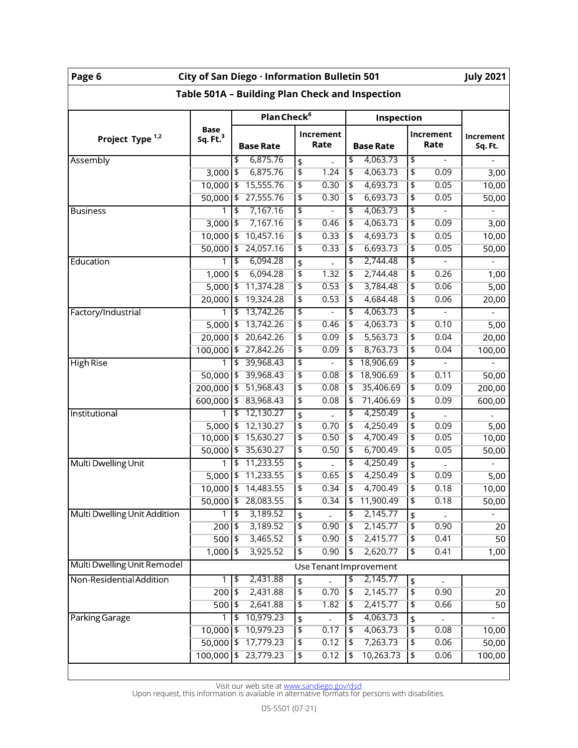| Page 6                                          | City of San Diego · Information Bulletin 501<br><b>July 2021</b> |                                       |                   |                                       |                                   |                      |  |  |  |
|-------------------------------------------------|------------------------------------------------------------------|---------------------------------------|-------------------|---------------------------------------|-----------------------------------|----------------------|--|--|--|
| Table 501A - Building Plan Check and Inspection |                                                                  |                                       |                   |                                       |                                   |                      |  |  |  |
|                                                 |                                                                  | Plan Check <sup>6</sup><br>Inspection |                   |                                       |                                   |                      |  |  |  |
| Project Type <sup>1,2</sup>                     | <b>Base</b><br>Sq. Ft. <sup>3</sup>                              | <b>Base Rate</b>                      | Increment<br>Rate | <b>Base Rate</b>                      | Increment<br>Rate                 | Increment<br>Sq. Ft. |  |  |  |
| Assembly                                        |                                                                  | 6,875.76<br>\$                        | \$                | 4,063.73<br>\$                        | \$                                |                      |  |  |  |
|                                                 | $3,000$   \$                                                     | 6,875.76                              | \$<br>1.24        | $\overline{\mathfrak{s}}$<br>4,063.73 | \$<br>0.09                        | 3,00                 |  |  |  |
|                                                 | $10,000$   \$                                                    | 15,555.76                             | \$<br>0.30        | 4,693.73<br>\$                        | \$<br>0.05                        | 10,00                |  |  |  |
|                                                 | $50,000$   \$                                                    | 27,555.76                             | \$<br>0.30        | 6,693.73<br>$\overline{\mathbf{t}}$   | \$<br>0.05                        | 50,00                |  |  |  |
| <b>Business</b>                                 |                                                                  | 7,167.16<br>\$                        | \$                | \$<br>4,063.73                        | \$                                |                      |  |  |  |
|                                                 | $3,000$ \$                                                       | 7,167.16                              | \$<br>0.46        | 4,063.73<br>\$                        | \$<br>0.09                        | 3,00                 |  |  |  |
|                                                 | $10,000$   \$                                                    | 10,457.16                             | \$<br>0.33        | 4,693.73<br>$\overline{\mathfrak{s}}$ | \$<br>0.05                        | 10,00                |  |  |  |
|                                                 | $50,000$   \$                                                    | 24,057.16                             | \$<br>0.33        | $\overline{\mathbf{t}}$<br>6,693.73   | \$<br>0.05                        | 50,00                |  |  |  |
| Education                                       | 1                                                                | 6,094.28<br>$\overline{\mathbf{3}}$   | \$                | 2,744.48<br>\$                        | \$                                |                      |  |  |  |
|                                                 | $1,000$ \$                                                       | 6,094.28                              | \$<br>1.32        | \$<br>2,744.48                        | \$<br>0.26                        | 1,00                 |  |  |  |
|                                                 | $5,000$ \$                                                       | 11,374.28                             | \$<br>0.53        | \$<br>3,784.48                        | 0.06<br>\$                        | 5,00                 |  |  |  |
|                                                 | $20,000$   \$                                                    | 19,324.28                             | \$<br>0.53        | $\overline{\mathfrak{s}}$<br>4,684.48 | \$<br>0.06                        | 20,00                |  |  |  |
| Factory/Industrial                              |                                                                  | 13,742.26<br>$\overline{\mathbf{3}}$  | \$                | 4,063.73<br>\$                        | \$                                |                      |  |  |  |
|                                                 | $5,000$   \$                                                     | 13,742.26                             | \$<br>0.46        | \$<br>4,063.73                        | \$<br>0.10                        | 5,00                 |  |  |  |
|                                                 | $20,000$   \$                                                    | 20,642.26                             | \$<br>0.09        | 5,563.73<br>\$                        | \$<br>0.04                        | 20,00                |  |  |  |
|                                                 | $100,000$   \$                                                   | 27,842.26                             | \$<br>0.09        | 8,763.73<br>\$                        | \$<br>0.04                        | 100,00               |  |  |  |
| <b>High Rise</b>                                |                                                                  | 39,968.43<br>\$                       | \$                | 18,906.69<br>\$                       | \$                                |                      |  |  |  |
|                                                 | $50,000$   \$                                                    | 39,968.43                             | \$<br>0.08        | 18,906.69<br>\$                       | \$<br>0.11                        | 50,00                |  |  |  |
|                                                 | $200,000$   \$                                                   | 51,968.43                             | \$<br>0.08        | 35,406.69<br>\$                       | \$<br>0.09                        | 200,00               |  |  |  |
|                                                 | $600,000$   \$                                                   | 83,968.43                             | \$<br>0.08        | 71,406.69<br>\$                       | \$<br>0.09                        | 600,00               |  |  |  |
| Institutional                                   |                                                                  | 12,130.27<br>\$                       | \$                | 4,250.49<br>\$                        | \$                                |                      |  |  |  |
|                                                 | $5,000$   \$                                                     | 12,130.27                             | \$<br>0.70        | 4,250.49<br>$\overline{\mathbf{t}}$   | \$<br>0.09                        | 5,00                 |  |  |  |
|                                                 | $10,000$   \$                                                    | 15,630.27                             | \$<br>0.50        | $\overline{\mathfrak{s}}$<br>4,700.49 | \$<br>0.05                        | 10,00                |  |  |  |
|                                                 | $50,000$   \$                                                    | 35,630.27                             | \$<br>0.50        | \$<br>6,700.49                        | \$<br>0.05                        | 50,00                |  |  |  |
| Multi Dwelling Unit                             | 1                                                                | 11,233.55<br>$\overline{\mathsf{L}}$  | \$                | 4,250.49<br>\$                        | \$                                |                      |  |  |  |
|                                                 | $5,000$ \$                                                       | 11,233.55                             | \$<br>0.65        | 4,250.49<br>$\overline{\mathfrak{s}}$ | \$<br>0.09                        | 5,00                 |  |  |  |
|                                                 | $10,000$   \$                                                    | 14,483.55                             | \$<br>0.34        | $\overline{\phantom{a}}$<br>4,700.49  | \$<br>0.18                        | 10,00                |  |  |  |
|                                                 | $50,000$   \$                                                    | 28,083.55                             | \$<br>0.34        | 11,900.49<br>\$                       | $\overline{\mathfrak{s}}$<br>0.18 | 50,00                |  |  |  |
| Multi Dwelling Unit Addition                    |                                                                  | 3,189.52<br>t4                        |                   | 2,145.77<br>\$                        |                                   |                      |  |  |  |
|                                                 | $200$   \$                                                       | 3,189.52                              | \$<br>\$<br>0.90  | 2,145.77<br>$\overline{\mathfrak{s}}$ | \$<br>\$<br>0.90                  | 20                   |  |  |  |
|                                                 | $500$   \$                                                       | 3,465.52                              | \$<br>0.90        | 2,415.77<br> \$                       | $\overline{\mathbf{t}}$<br>0.41   | 50                   |  |  |  |
|                                                 | $1,000$   \$                                                     | 3,925.52                              | \$<br>0.90        | 2,620.77<br>\$                        | $\overline{\mathfrak{s}}$<br>0.41 |                      |  |  |  |
|                                                 |                                                                  |                                       |                   |                                       |                                   | 1,00                 |  |  |  |
| Multi Dwelling Unit Remodel                     |                                                                  | Use Tenant Improvement                |                   |                                       |                                   |                      |  |  |  |
| Non-Residential Addition                        | 1                                                                | $\sqrt{2}$<br>2,431.88                | \$                | 2,145.77<br>क                         | \$                                |                      |  |  |  |
|                                                 | $200$  \$                                                        | 2,431.88                              | \$<br>0.70        | 2,145.77<br>$\overline{\mathfrak{s}}$ | \$<br>0.90                        | 20                   |  |  |  |
|                                                 | $500$   \$                                                       | 2,641.88                              | \$<br>1.82        | 2,415.77<br>\$                        | 0.66<br>\$                        | 50                   |  |  |  |
| Parking Garage                                  |                                                                  | 10,979.23<br>$\overline{\mathbf{3}}$  | \$                | 4,063.73<br>$\overline{\mathbf{z}}$   | \$                                |                      |  |  |  |
|                                                 | $10,000$   \$                                                    | 10,979.23                             | \$<br>0.17        | 4,063.73<br>$\overline{\phantom{a}}$  | \$<br>0.08                        | 10,00                |  |  |  |
|                                                 | $50,000$   \$                                                    | 17,779.23                             | \$<br>0.12        | 7,263.73<br>$\overline{\mathfrak{s}}$ | \$<br>0.06                        | 50,00                |  |  |  |
|                                                 | $100,000$   \$                                                   | 23,779.23                             | \$<br>0.12        | 10,263.73<br> \$                      | \$<br>0.06                        | 100,00               |  |  |  |

Visit our web site at <u>[www.sandiego.gov/dsd](https://www.sandiego.gov/development-services)</u><br>Upon request, this information is available in alternative formats for persons with disabilities.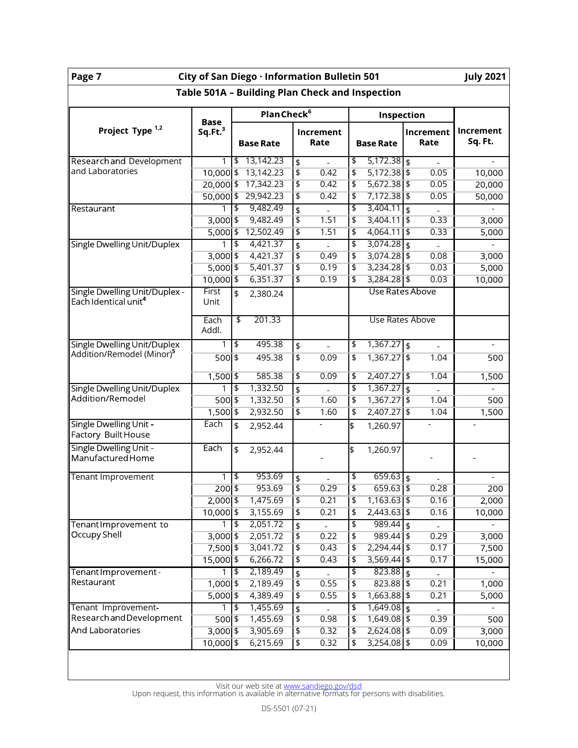| <b>July 2021</b><br>Page 7<br>City of San Diego · Information Bulletin 501 |                                    |                           |                         |                           |                |                           |                 |                         |                |                             |
|----------------------------------------------------------------------------|------------------------------------|---------------------------|-------------------------|---------------------------|----------------|---------------------------|-----------------|-------------------------|----------------|-----------------------------|
| Table 501A - Building Plan Check and Inspection                            |                                    |                           |                         |                           |                |                           |                 |                         |                |                             |
|                                                                            |                                    |                           | Plan Check <sup>6</sup> |                           |                |                           | Inspection      |                         |                |                             |
| Project Type <sup>1,2</sup>                                                | <b>Base</b><br>Sq.Ft. <sup>3</sup> |                           | <b>Base Rate</b>        | Increment<br>Rate         |                | <b>Base Rate</b>          |                 | Increment<br>Rate       |                | <b>Increment</b><br>Sq. Ft. |
| <b>Researchand Development</b>                                             | 1                                  | \$                        | 13,142.23               | $\frac{1}{2}$             | $\overline{a}$ | \$                        | $5,172.38$ \$   |                         | $\overline{a}$ |                             |
| and Laboratories                                                           | $10,000$ \$                        |                           | 13,142.23               | $\overline{\mathfrak{s}}$ | 0.42           | \$                        | $5,172.38$ \$   |                         | 0.05           | 10,000                      |
|                                                                            | $20,000$ \$                        |                           | 17,342.23               | \$                        | 0.42           | $\overline{\mathbf{t}}$   | $5,672.38$ \$   |                         | 0.05           | 20,000                      |
|                                                                            | $50,000$ \$                        |                           | 29,942.23               | $\overline{\mathfrak{s}}$ | 0.42           | $\overline{\mathbf{t}}$   | $7,172.38$ \$   |                         | 0.05           | 50,000                      |
| <b>Restaurant</b>                                                          |                                    | $\overline{\mathfrak{s}}$ | 9,482.49                | $\frac{1}{2}$             |                | \$                        | 3,404.11        | $\overline{\mathbf{s}}$ |                |                             |
|                                                                            | $3,000$ \$                         |                           | 9,482.49                | $\overline{\mathfrak{s}}$ | 1.51           | $\overline{\phantom{a}}$  | $3,404.11$ \$   |                         | 0.33           | 3,000                       |
|                                                                            | $5,000$ \$                         |                           | 12,502.49               | \$                        | 1.51           | $\overline{\mathfrak{s}}$ | 4,064.11        | 5                       | 0.33           | 5,000                       |
| <b>Single Dwelling Unit/Duplex</b>                                         |                                    | \$                        | 4,421.37                | \$                        |                | $\overline{\mathcal{L}}$  | 3,074.28        | $\overline{\mathbf{S}}$ |                |                             |
|                                                                            | $3,000$ \$                         |                           | 4,421.37                | $\overline{\mathfrak{s}}$ | 0.49           | $\overline{\phantom{a}}$  | $3,074.28$ \$   |                         | 0.08           | 3,000                       |
|                                                                            | $5,000$ \$                         |                           | 5,401.37                | \$                        | 0.19           | $\overline{\mathbf{t}}$   | $3,234.28$ \$   |                         | 0.03           | 5,000                       |
|                                                                            | $10,000$ \$                        |                           | 6,351.37                | \$                        | 0.19           | \$                        | $3,284.28$ \$   |                         | 0.03           | 10,000                      |
| Single Dwelling Unit/Duplex -<br>Each Identical unit <sup>4</sup>          | First<br>Unit                      | \$                        | 2,380.24                |                           |                |                           | Use Rates Above |                         |                |                             |
|                                                                            | Each<br>Addl.                      | \$                        | 201.33                  |                           |                |                           | Use Rates Above |                         |                |                             |
| Single Dwelling Unit/Duplex                                                | 1                                  | $\overline{\mathfrak{s}}$ | 495.38                  | \$                        |                | $\overline{\mathcal{C}}$  | 1,367.27        | $\overline{\mathbf{S}}$ |                |                             |
| Addition/Remodel (Minor) <sup>5</sup>                                      | $500$ \$                           |                           | 495.38                  | $\overline{\mathsf{L}}$   | 0.09           | \$                        | $1,367.27$ \$   |                         | 1.04           | 500                         |
|                                                                            | $1,500$ \$                         |                           | 585.38                  | \$                        | 0.09           | $\overline{\mathbf{z}}$   | 2,407.27 \$     |                         | 1.04           | 1,500                       |
| Single Dwelling Unit/Duplex                                                | 1                                  | \$                        | 1,332.50                | $\frac{1}{2}$             |                | \$                        | 1,367.27        | $\overline{\mathbf{S}}$ |                |                             |
| Addition/Remodel                                                           | $500$ \$                           |                           | 1,332.50                | $\overline{\mathfrak{s}}$ | 1.60           | \$                        | $1,367.27$ \$   |                         | 1.04           | 500                         |
|                                                                            | $1,500$ \$                         |                           | 2,932.50                | $\overline{\mathfrak{s}}$ | 1.60           | $\overline{\mathfrak{s}}$ | $2,407.27$ \$   |                         | 1.04           | 1,500                       |
| Single Dwelling Unit -<br>Factory Built House                              | Each                               | \$                        | 2,952.44                |                           |                | \$                        | 1,260.97        |                         |                |                             |
| Single Dwelling Unit -<br>Manufactured Home                                | Each                               | \$                        | 2,952.44                |                           |                | \$                        | 1,260.97        |                         |                |                             |
| Tenant Improvement                                                         | 1                                  | \$                        | 953.69                  | \$                        |                | \$                        | $659.63$ \$     |                         |                |                             |
|                                                                            | $200$ \$                           |                           | 953.69                  | $\overline{\mathfrak{s}}$ | 0.29           | $\overline{\mathfrak{s}}$ | $659.63$ \$     |                         | 0.28           | 200                         |
|                                                                            | $2,000$ \$                         |                           | 1,475.69                | $\overline{\mathbf{t}}$   | 0.21           | $\overline{\mathfrak{s}}$ | $1,163.63$ \$   |                         | 0.16           | 2,000                       |
|                                                                            | 10,000 \$                          |                           | 3,155.69                | $\overline{\mathfrak{s}}$ | 0.21           | $\overline{\mathfrak{s}}$ | $2,443.63$ \$   |                         | 0.16           | 10,000                      |
| Tenant Improvement to                                                      |                                    | 5                         | 2,051.72                | $\frac{1}{2}$             |                | \$                        | $989.44$ \$     |                         |                |                             |
| Occupy Shell                                                               | $3,000$ \$                         |                           | 2,051.72                | $\overline{\mathfrak{s}}$ | 0.22           | $\overline{\mathfrak{s}}$ | 989.44   \$     |                         | 0.29           | 3,000                       |
|                                                                            | 7,500 \$                           |                           | 3,041.72                | $\overline{\mathfrak{s}}$ | 0.43           | $\overline{\mathbf{t}}$   | $2,294.44$ \$   |                         | 0.17           | 7,500                       |
|                                                                            | $15,000$ \$                        |                           | 6,266.72                | $\overline{\mathfrak{s}}$ | 0.43           | $\overline{\mathbf{t}}$   | $3,569.44$ \$   |                         | 0.17           | 15,000                      |
| Tenant Improvement-                                                        | 1                                  | $\blacklozenge$           | 2,189.49                | $\frac{1}{2}$             |                | $\overline{\mathbf{z}}$   | $823.88$ \$     |                         |                |                             |
| Restaurant                                                                 | $1,000$ \$                         |                           | 2,189.49                | $\overline{\mathfrak{s}}$ | 0.55           | $\overline{\mathfrak{s}}$ | 823.88   \$     |                         | 0.21           | 1,000                       |
|                                                                            | $5,000$ \$                         |                           | 4,389.49                | $\overline{\mathfrak{s}}$ | 0.55           | $\overline{\mathfrak{s}}$ | $1,663.88$ \$   |                         | 0.21           | 5,000                       |
| Tenant Improvement                                                         | 1                                  | \$                        | 1,455.69                | \$                        |                | $\overline{\mathcal{L}}$  | $1,649.08$ \$   |                         |                |                             |
| Research and Development                                                   | $500$ \$                           |                           | 1,455.69                | $\overline{\mathfrak{s}}$ | 0.98           | $\overline{\mathfrak{s}}$ | $1,649.08$ \$   |                         | 0.39           | 500                         |
| And Laboratories                                                           | $3,000$ \$                         |                           | 3,905.69                | $\overline{\mathfrak{s}}$ | 0.32           | $\overline{\phantom{a}}$  | $2,624.08$ \$   |                         | 0.09           | 3,000                       |
|                                                                            | $10,000$ \$                        |                           | 6,215.69                | $\overline{\mathfrak{s}}$ | 0.32           | $\overline{\mathfrak{s}}$ | $3,254.08$ \$   |                         | 0.09           | 10,000                      |
|                                                                            |                                    |                           |                         |                           |                |                           |                 |                         |                |                             |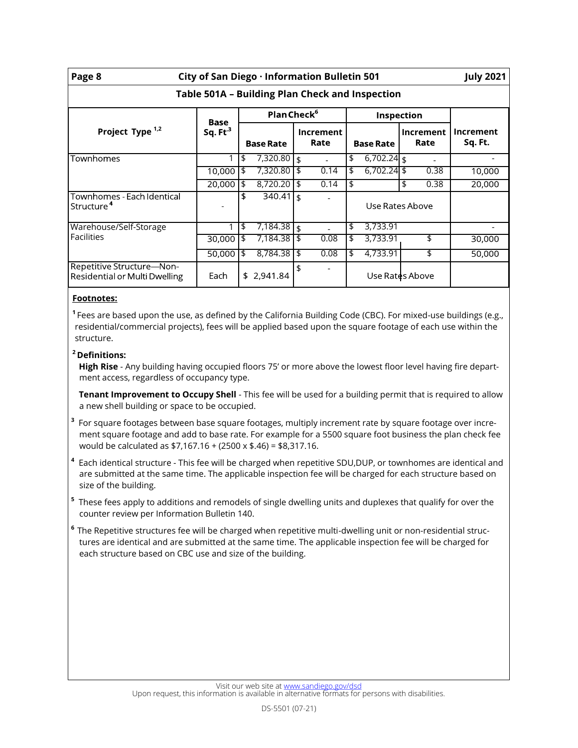| City of San Diego · Information Bulletin 501<br>Page 8     |            |    |                         |    |                          |                   |                  |    |                   | <b>July 2021</b>     |  |
|------------------------------------------------------------|------------|----|-------------------------|----|--------------------------|-------------------|------------------|----|-------------------|----------------------|--|
| Table 501A - Building Plan Check and Inspection            |            |    |                         |    |                          |                   |                  |    |                   |                      |  |
|                                                            | Base       |    | Plan Check <sup>6</sup> |    |                          | <b>Inspection</b> |                  |    |                   |                      |  |
| Project Type <sup>1,2</sup>                                | Sq. $Ft^3$ |    | <b>Base Rate</b>        |    | <b>Increment</b><br>Rate |                   | <b>Base Rate</b> |    | Increment<br>Rate | Increment<br>Sq. Ft. |  |
| Townhomes                                                  | 1          | \$ | 7,320.80                | \$ |                          | \$                | $6,702.24$ \$    |    |                   |                      |  |
|                                                            | 10,000     | \$ | 7,320.80                | \$ | 0.14                     | \$                | $6,702.24$ \$    |    | 0.38              | 10,000               |  |
|                                                            | 20,000     | \$ | 8,720.20                | \$ | 0.14                     | \$                |                  | \$ | 0.38              | 20,000               |  |
| Townhomes - Each Identical<br>Structure <sup>4</sup>       |            | \$ | $340.41$ \$             |    | $\overline{\phantom{a}}$ |                   | Use Rates Above  |    |                   |                      |  |
| Warehouse/Self-Storage                                     | 1          | \$ | 7,184.38                | \$ |                          | \$                | 3,733.91         |    |                   |                      |  |
| <b>Facilities</b>                                          | 30,000     | \$ | 7,184.38                | \$ | 0.08                     | \$                | 3,733.91         |    | \$                | 30,000               |  |
|                                                            | 50,000     | \$ | 8,784.38                | \$ | 0.08                     | \$                | 4,733.91         |    | \$                | 50,000               |  |
| Repetitive Structure-Non-<br>Residential or Multi Dwelling | Each       |    | \$2,941.84              | \$ |                          | Use Rates Above   |                  |    |                   |                      |  |

## **Footnotes:**

**<sup>1</sup>**Fees are based upon the use, as defined by the California Building Code (CBC). For mixed-use buildings (e.g., residential/commercial projects), fees will be applied based upon the square footage of each use within the structure.

## **<sup>2</sup> Definitions:**

**High Rise** - Any building having occupied floors 75' or more above the lowest floor level having fire department access, regardless of occupancy type.

**Tenant Improvement to Occupy Shell** - This fee will be used for a building permit that is required to allow a new shell building or space to be occupied.

- **3** For square footages between base square footages, multiply increment rate by square footage over increment square footage and add to base rate. For example for a 5500 square foot business the plan check fee would be calculated as \$7,167.16 + (2500 x \$.46) = \$8,317.16.
- **<sup>4</sup>** Each identical structure This fee will be charged when repetitive SDU,DUP, or townhomes are identical and are submitted at the same time. The applicable inspection fee will be charged for each structure based on size of the building.
- **5** These fees apply to additions and remodels of single dwelling units and duplexes that qualify for over the counter review per Information Bulletin 140.
- **<sup>6</sup>** The Repetitive structures fee will be charged when repetitive multi-dwelling unit or non-residential structures are identical and are submitted at the same time. The applicable inspection fee will be charged for each structure based on CBC use and size of the building.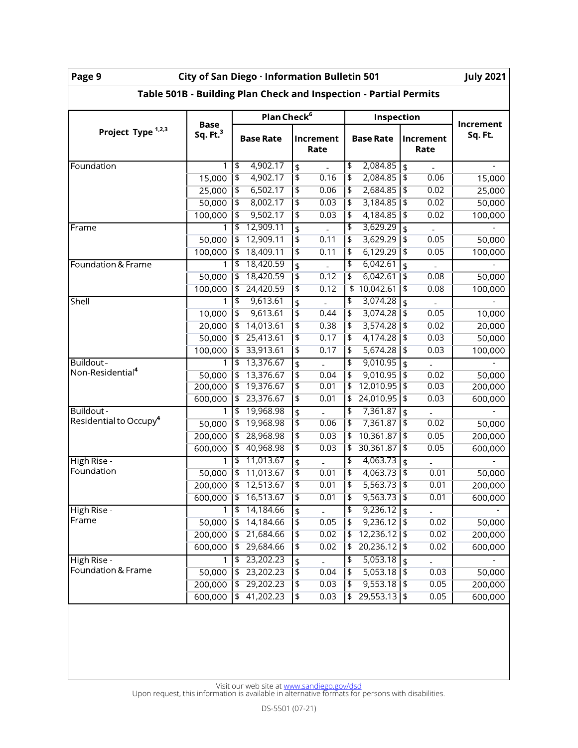| City of San Diego · Information Bulletin 501<br><b>July 2021</b><br>Page 9 |                           |                                        |                                   |                                                                            |                      |  |  |  |  |
|----------------------------------------------------------------------------|---------------------------|----------------------------------------|-----------------------------------|----------------------------------------------------------------------------|----------------------|--|--|--|--|
| Table 501B - Building Plan Check and Inspection - Partial Permits          |                           |                                        |                                   |                                                                            |                      |  |  |  |  |
| Plan Check <sup>6</sup><br>Inspection                                      |                           |                                        |                                   |                                                                            |                      |  |  |  |  |
| Project Type <sup>1,2,3</sup>                                              | <b>Base</b><br>Sq. $Ft.3$ | <b>Base Rate</b>                       | Increment<br>Rate                 | <b>Base Rate</b><br>Increment<br>Rate                                      | Increment<br>Sq. Ft. |  |  |  |  |
| Foundation                                                                 | 1                         | 4,902.17<br>\$                         | \$                                | \$<br>2,084.85<br>$\frac{1}{2}$                                            |                      |  |  |  |  |
|                                                                            | 15,000                    | 4,902.17<br>$\overline{\mathfrak{s}}$  | $\overline{\mathfrak{s}}$<br>0.16 | 2,084.85<br>\$<br>\$<br>0.06                                               | 15,000               |  |  |  |  |
|                                                                            | 25,000                    | $\overline{\phantom{a}}$<br>6,502.17   | $\overline{\mathfrak{s}}$<br>0.06 | $\overline{\mathfrak{s}}$<br>2,684.85<br>$\overline{\mathbf{t}}$<br>0.02   | 25,000               |  |  |  |  |
|                                                                            | 50,000                    | 8,002.17<br> \$                        | \$<br>0.03                        | 3,184.85<br>\$<br>0.02<br>$\overline{\mathfrak{s}}$                        | 50,000               |  |  |  |  |
|                                                                            | 100,000                   | 9,502.17<br>\$                         | \$<br>0.03                        | $\overline{\mathbf{z}}$<br>4,184.85<br>\$<br>0.02                          | 100,000              |  |  |  |  |
| Frame                                                                      | 1                         | 12,909.11<br>\$                        | \$                                | \$<br>3,629.29<br>\$                                                       |                      |  |  |  |  |
|                                                                            | 50,000                    | 12,909.11<br>\$                        | \$<br>0.11                        | \$<br>3,629.29<br>\$<br>0.05                                               | 50,000               |  |  |  |  |
|                                                                            | 100,000                   | 18,409.11<br>∣\$                       | \$<br>0.11                        | 6,129.29<br>\$<br>$\overline{\mathbf{t}}$<br>0.05                          | 100,000              |  |  |  |  |
| Foundation & Frame                                                         | 1                         | 18,420.59<br>\$                        | \$                                | 6,042.61<br>\$<br>\$                                                       |                      |  |  |  |  |
|                                                                            | 50,000                    | 18,420.59<br>5                         | \$<br>0.12                        | $\overline{\mathfrak{s}}$<br>6,042.61<br>\$<br>0.08                        | 50,000               |  |  |  |  |
|                                                                            | 100,000                   | 24,420.59<br>\$                        | \$<br>0.12                        | \$10,042.61<br>\$<br>0.08                                                  | 100,000              |  |  |  |  |
| <b>Shell</b>                                                               |                           | 9,613.61<br>\$                         | \$                                | 3,074.28<br>\$<br>\$                                                       |                      |  |  |  |  |
|                                                                            | 10,000                    | 9,613.61<br>\$                         | \$<br>0.44                        | $\overline{\mathfrak{s}}$<br>3,074.28<br>\$<br>0.05                        | 10,000               |  |  |  |  |
|                                                                            | 20,000                    | 14,013.61<br>5                         | \$<br>0.38                        | $\overline{\mathfrak{s}}$<br>3,574.28<br>\$<br>0.02                        | 20,000               |  |  |  |  |
|                                                                            | 50,000                    | 25,413.61<br>\$                        | \$<br>0.17                        | $\overline{\mathfrak{s}}$<br>4,174.28<br>$\overline{\mathbf{t}}$<br>0.03   | 50,000               |  |  |  |  |
|                                                                            | 100,000                   | 33,913.61<br>$\overline{\mathfrak{s}}$ | \$<br>0.17                        | $\overline{\mathfrak{s}}$<br>5,674.28<br>\$<br>0.03                        | 100,000              |  |  |  |  |
| Buildout-                                                                  | 1                         | 13,376.67<br>$\blacklozenge$           | \$<br>$\mathbb{L}$                | 9,010.95<br>\$<br>\$<br>$\blacksquare$                                     |                      |  |  |  |  |
| Non-Residential <sup>4</sup>                                               | 50,000                    | 13,376.67<br>\$                        | \$<br>0.04                        | 9,010.95<br>\$<br>\$<br>0.02                                               | 50,000               |  |  |  |  |
|                                                                            | 200,000                   | 19,376.67<br>\$                        | 0.01<br>\$                        | 12,010.95<br>\$<br>\$<br>0.03                                              | 200,000              |  |  |  |  |
|                                                                            | 600,000                   | 23,376.67<br>\$                        | \$<br>0.01                        | 24,010.95<br>0.03<br>\$<br>\$                                              | 600,000              |  |  |  |  |
| Buildout -                                                                 | 1                         | $\overline{\mathfrak{s}}$<br>19,968.98 | \$                                | 7,361.87<br>\$<br>\$                                                       |                      |  |  |  |  |
| Residential to Occupy <sup>4</sup>                                         | 50,000                    | 19,968.98<br>5                         | \$<br>0.06                        | 7,361.87<br>$\overline{\mathfrak{s}}$<br>$\overline{\mathbf{t}}$<br>0.02   | 50,000               |  |  |  |  |
|                                                                            | 200,000                   | 28,968.98<br>\$                        | \$<br>0.03                        | 10,361.87<br>0.05<br>\$<br>$\overline{\mathfrak{s}}$                       | 200,000              |  |  |  |  |
|                                                                            | 600,000                   | \$<br>40,968.98                        | \$<br>0.03                        | \$<br>30,361.87<br>$\overline{\mathbf{t}}$<br>0.05                         | 600,000              |  |  |  |  |
| High Rise -                                                                | 1                         | 11,013.67<br>\$                        | \$<br>$\overline{a}$              | 4,063.73<br>\$<br>\$<br>$\overline{a}$                                     |                      |  |  |  |  |
| Foundation                                                                 | 50,000                    | 11,013.67<br>\$                        | \$<br>0.01                        | \$<br>4,063.73<br>0.01<br>\$                                               | 50,000               |  |  |  |  |
|                                                                            | 200,000                   | $\overline{\mathfrak{s}}$<br>12,513.67 | \$<br>0.01                        | $\overline{\mathfrak{s}}$<br>5,563.73<br>$\overline{\mathfrak{s}}$<br>0.01 | 200,000              |  |  |  |  |
|                                                                            | 600,000                   | 16,513.67<br>\$                        | \$<br>0.01                        | $\overline{\mathbf{t}}$<br> \$<br>0.01<br>9,563.73                         | 600,000              |  |  |  |  |
| High Rise -                                                                |                           | 14,184.66<br>\$                        | \$                                | 9,236.12<br>\$<br>\$                                                       |                      |  |  |  |  |
| Frame                                                                      | 50,000                    | 14,184.66<br>\$                        | $\pmb{\mathfrak{\zeta}}$<br>0.05  | 9,236.12<br>0.02<br>\$<br>$\overline{\mathfrak{s}}$                        | 50,000               |  |  |  |  |
|                                                                            | 200,000                   | 21,684.66<br>\$                        | \$<br>0.02                        | 12,236.12   \$<br>0.02<br>\$                                               | 200,000              |  |  |  |  |
|                                                                            | 600,000                   | 29,684.66<br>\$                        | 0.02<br>\$                        | 20,236.12 \$<br>0.02<br>\$                                                 | 600,000              |  |  |  |  |
| High Rise -                                                                | 1                         | 23,202.23<br>$\blacklozenge$           | \$                                | 5,053.18<br>\$<br>\$                                                       |                      |  |  |  |  |
| Foundation & Frame                                                         | 50,000                    | 23,202.23<br>\$                        | \$<br>0.04                        | 5,053.18<br>\$<br>$\overline{\mathfrak{s}}$<br>0.03                        | 50,000               |  |  |  |  |
|                                                                            | 200,000                   | 29,202.23<br>\$                        | \$<br>0.03                        | 9,553.18<br>\$<br>$\overline{\mathbf{t}}$<br>0.05                          | 200,000              |  |  |  |  |
|                                                                            | 600,000                   | 41,202.23<br>\$                        | 0.03<br>\$                        | 29,553.13<br>0.05<br>\$<br>$\sqrt{2}$                                      | 600,000              |  |  |  |  |
|                                                                            |                           |                                        |                                   |                                                                            |                      |  |  |  |  |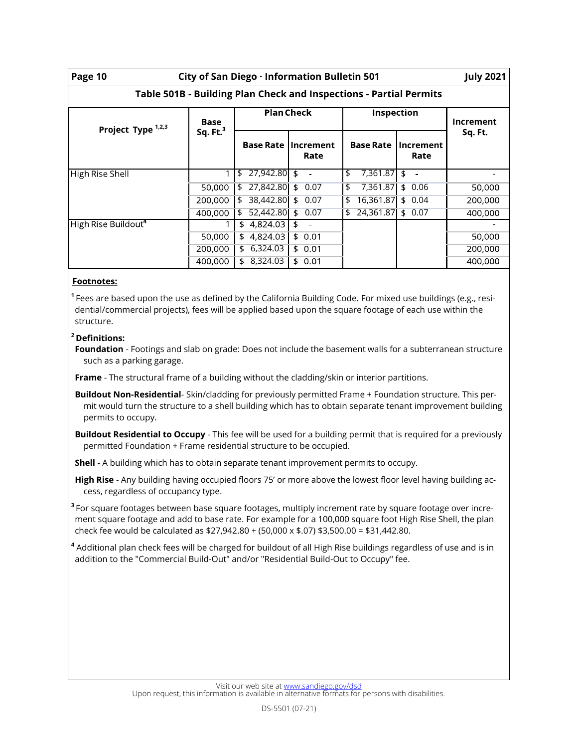| City of San Diego · Information Bulletin 501<br>Page 10            |             |                      |                      |                     |                   |         |  |  |  |  |
|--------------------------------------------------------------------|-------------|----------------------|----------------------|---------------------|-------------------|---------|--|--|--|--|
| Table 501B - Building Plan Check and Inspections - Partial Permits |             |                      |                      |                     |                   |         |  |  |  |  |
| Project Type 1,2,3                                                 | <b>Base</b> | <b>Plan Check</b>    |                      | Inspection          | <b>Increment</b>  |         |  |  |  |  |
|                                                                    | Sq. Ft. $3$ | <b>Base Rate</b>     | Increment<br>Rate    | <b>Base Rate</b>    | Increment<br>Rate | Sq. Ft. |  |  |  |  |
| High Rise Shell                                                    |             | $27,942.80$ \$<br>\$ |                      | \$<br>$7,361.87$ \$ |                   |         |  |  |  |  |
|                                                                    | 50,000      | 27,842.80<br>\$      | \$<br>0.07           | 7,361.87<br>\$      | \$<br>0.06        | 50,000  |  |  |  |  |
|                                                                    | 200,000     | 38,442.80<br>\$      | \$0.07               | 16,361.87<br>\$     | \$0.04            | 200,000 |  |  |  |  |
|                                                                    | 400,000     | 52,442.80<br>\$      | 0.07<br>\$           | 24,361.87<br>\$     | \$0.07            | 400,000 |  |  |  |  |
| High Rise Buildout <sup>4</sup>                                    |             | 4,824.03<br>\$       | \$<br>$\blacksquare$ |                     |                   |         |  |  |  |  |
|                                                                    | 50,000      | 4,824.03<br>\$.      | \$0.01               |                     |                   | 50,000  |  |  |  |  |
|                                                                    | 200,000     | 6,324.03<br>\$       | \$0.01               |                     |                   | 200,000 |  |  |  |  |
|                                                                    | 400,000     | 8,324.03<br>\$       | \$0.01               |                     |                   | 400,000 |  |  |  |  |

#### **Footnotes:**

**<sup>1</sup>**Fees are based upon the use as defined by the California Building Code. For mixed use buildings (e.g., residential/commercial projects), fees will be applied based upon the square footage of each use within the structure.

## **<sup>2</sup> Definitions:**

**Foundation** - Footings and slab on grade: Does not include the basement walls for a subterranean structure such as a parking garage.

**Frame** - The structural frame of a building without the cladding/skin or interior partitions.

**Buildout Non-Residential**- Skin/cladding for previously permitted Frame + Foundation structure. This permit would turn the structure to a shell building which has to obtain separate tenant improvement building permits to occupy.

**Buildout Residential to Occupy** - This fee will be used for a building permit that is required for a previously permitted Foundation + Frame residential structure to be occupied.

**Shell** - A building which has to obtain separate tenant improvement permits to occupy.

**High Rise** - Any building having occupied floors 75' or more above the lowest floor level having building access, regardless of occupancy type.

**3** For square footages between base square footages, multiply increment rate by square footage over increment square footage and add to base rate. For example for a 100,000 square foot High Rise Shell, the plan check fee would be calculated as \$27,942.80 + (50,000 x \$.07) \$3,500.00 = \$31,442.80.

**<sup>4</sup>** Additional plan check fees will be charged for buildout of all High Rise buildings regardless of use and is in addition to the "Commercial Build-Out" and/or "Residential Build-Out to Occupy" fee.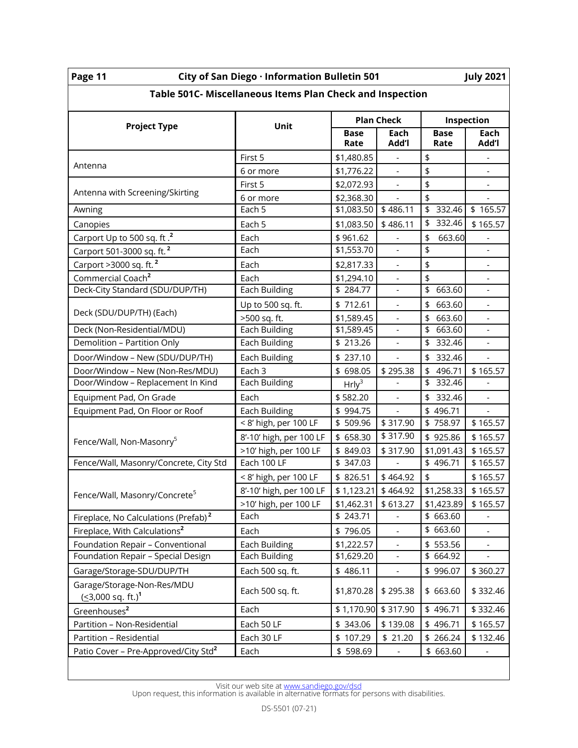| Page 11<br>City of San Diego · Information Bulletin 501<br><b>July 2021</b> |                         |                       |                          |                                     |                          |  |  |  |
|-----------------------------------------------------------------------------|-------------------------|-----------------------|--------------------------|-------------------------------------|--------------------------|--|--|--|
| Table 501C- Miscellaneous Items Plan Check and Inspection                   |                         |                       |                          |                                     |                          |  |  |  |
|                                                                             | Unit                    |                       | <b>Plan Check</b>        | Inspection                          |                          |  |  |  |
| <b>Project Type</b>                                                         |                         | <b>Base</b><br>Rate   | Each<br>Add'l            | <b>Base</b><br>Rate                 | Each<br>Add'l            |  |  |  |
|                                                                             | First 5                 | \$1,480.85            | $\overline{\phantom{a}}$ | \$                                  | $\blacksquare$           |  |  |  |
| Antenna                                                                     | 6 or more               | \$1,776.22            |                          | \$                                  |                          |  |  |  |
|                                                                             | First 5                 | \$2,072.93            |                          | $\frac{1}{2}$                       | $\overline{\phantom{0}}$ |  |  |  |
| Antenna with Screening/Skirting                                             | 6 or more               | \$2,368.30            | $\blacksquare$           | \$                                  | $\overline{\phantom{a}}$ |  |  |  |
| Awning                                                                      | Each 5                  | \$1,083.50            | \$486.11                 | $\overline{\$}$ 332.46              | \$165.57                 |  |  |  |
| Canopies                                                                    | Each 5                  | \$1,083.50            | \$486.11                 | \$ 332.46                           | \$165.57                 |  |  |  |
| Carport Up to 500 sq. ft . <sup>2</sup>                                     | Each                    | \$961.62              |                          | \$<br>663.60                        |                          |  |  |  |
| Carport 501-3000 sq. ft. <sup>2</sup>                                       | Each                    | \$1,553.70            |                          | \$                                  |                          |  |  |  |
| Carport >3000 sq. ft. <sup>2</sup>                                          | Each                    | \$2,817.33            | $\overline{\phantom{a}}$ | \$                                  | $\overline{\phantom{a}}$ |  |  |  |
| Commercial Coach <sup>2</sup>                                               | Each                    | \$1,294.10            |                          | $\frac{1}{2}$                       |                          |  |  |  |
| Deck-City Standard (SDU/DUP/TH)                                             | <b>Each Building</b>    | \$284.77              |                          | $\overline{\mathfrak{s}}$<br>663.60 |                          |  |  |  |
|                                                                             | Up to 500 sq. ft.       | \$712.61              | $\overline{\phantom{a}}$ | \$<br>663.60                        | $\overline{\phantom{a}}$ |  |  |  |
| Deck (SDU/DUP/TH) (Each)                                                    | >500 sq. ft.            | \$1,589.45            |                          | \$ 663.60                           |                          |  |  |  |
| Deck (Non-Residential/MDU)                                                  | Each Building           | \$1,589.45            |                          | $\overline{5}$ 663.60               |                          |  |  |  |
| Demolition - Partition Only                                                 | Each Building           | \$ 213.26             |                          | \$ 332.46                           |                          |  |  |  |
| Door/Window - New (SDU/DUP/TH)                                              | Each Building           | \$237.10              |                          | \$ 332.46                           | $\overline{a}$           |  |  |  |
| Door/Window - New (Non-Res/MDU)                                             | Each 3                  | \$ 698.05             | \$295.38                 | \$496.71                            | \$165.57                 |  |  |  |
| Door/Window - Replacement In Kind                                           | Each Building           | Hrly <sup>3</sup>     |                          | \$ 332.46                           |                          |  |  |  |
| Equipment Pad, On Grade                                                     | Each                    | \$582.20              |                          | 332.46<br>\$                        | $\frac{1}{2}$            |  |  |  |
| Equipment Pad, On Floor or Roof                                             | Each Building           | \$994.75              |                          | \$496.71                            |                          |  |  |  |
|                                                                             | < 8' high, per 100 LF   | \$509.96              | \$317.90                 | \$758.97                            | \$165.57                 |  |  |  |
| Fence/Wall, Non-Masonry <sup>5</sup>                                        | 8'-10' high, per 100 LF | \$ 658.30             | \$317.90                 | \$925.86                            | \$165.57                 |  |  |  |
|                                                                             | >10' high, per 100 LF   | \$ 849.03             | \$317.90                 | \$1,091.43                          | \$165.57                 |  |  |  |
| Fence/Wall, Masonry/Concrete, City Std                                      | Each 100 LF             | \$ 347.03             |                          | \$496.71                            | \$165.57                 |  |  |  |
|                                                                             | < 8' high, per 100 LF   | \$ 826.51             | \$464.92                 | \$                                  | \$165.57                 |  |  |  |
| Fence/Wall, Masonry/Concrete <sup>5</sup>                                   | 8'-10' high, per 100 LF | $$1,123.21$ $$464.92$ |                          |                                     | $$1,258.33$ $$165.57$    |  |  |  |
|                                                                             | >10' high, per 100 LF   | \$1,462.31            | \$613.27                 | \$1,423.89                          | \$165.57                 |  |  |  |
| Fireplace, No Calculations (Prefab) <sup>2</sup>                            | Each                    | \$243.71              |                          | \$ 663.60                           |                          |  |  |  |
| Fireplace, With Calculations <sup>2</sup>                                   | Each                    | \$796.05              | $\blacksquare$           | \$ 663.60                           | $\blacksquare$           |  |  |  |
| Foundation Repair - Conventional                                            | Each Building           | \$1,222.57            |                          | \$553.56                            |                          |  |  |  |
| Foundation Repair - Special Design                                          | Each Building           | \$1,629.20            |                          | \$ 664.92                           |                          |  |  |  |
| Garage/Storage-SDU/DUP/TH                                                   | Each 500 sq. ft.        | \$486.11              |                          | \$996.07                            | \$360.27                 |  |  |  |
| Garage/Storage-Non-Res/MDU<br>$( \leq 3,000$ sq. ft.) <sup>1</sup>          | Each 500 sq. ft.        | \$1,870.28            | \$295.38                 | \$ 663.60                           | \$332.46                 |  |  |  |
| Greenhouses <sup>2</sup>                                                    | Each                    | \$1,170.90            | \$317.90                 | \$496.71                            | \$332.46                 |  |  |  |
| Partition - Non-Residential                                                 | Each 50 LF              | \$343.06              | \$139.08                 | \$496.71                            | \$165.57                 |  |  |  |
| Partition - Residential                                                     | Each 30 LF              | \$107.29              | \$21.20                  | \$ 266.24                           | \$132.46                 |  |  |  |
| Patio Cover - Pre-Approved/City Std <sup>2</sup>                            | Each                    | \$598.69              | $\overline{\phantom{a}}$ | \$ 663.60                           | $\overline{\phantom{a}}$ |  |  |  |
|                                                                             |                         |                       |                          |                                     |                          |  |  |  |

Visit our web site at <u>[www.sandiego.gov/dsd](https://www.sandiego.gov/development-services)</u><br>Upon request, this information is available in alternative formats for persons with disabilities.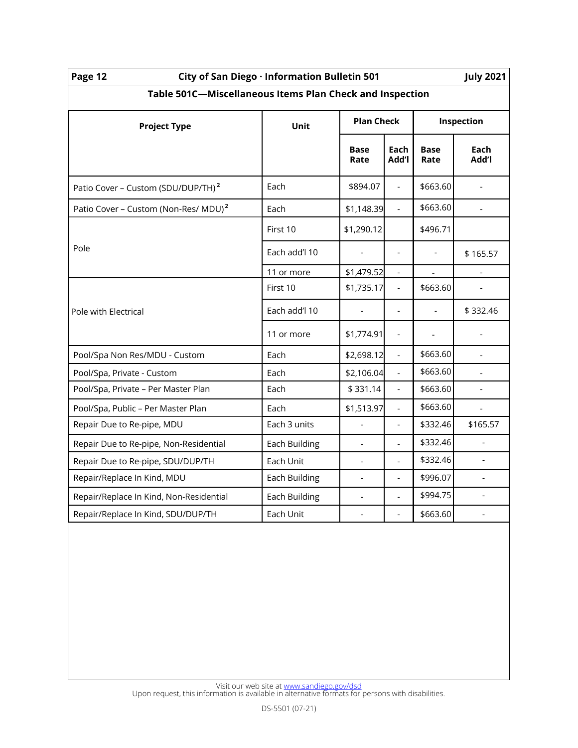| Page 12<br>City of San Diego · Information Bulletin 501<br><b>July 2021</b> |               |                          |                          |                     |                |  |  |  |  |
|-----------------------------------------------------------------------------|---------------|--------------------------|--------------------------|---------------------|----------------|--|--|--|--|
| Table 501C-Miscellaneous Items Plan Check and Inspection                    |               |                          |                          |                     |                |  |  |  |  |
| <b>Project Type</b>                                                         | <b>Unit</b>   | <b>Plan Check</b>        |                          | Inspection          |                |  |  |  |  |
|                                                                             |               | <b>Base</b><br>Rate      | Each<br>Add'l            | <b>Base</b><br>Rate | Each<br>Add'l  |  |  |  |  |
| Patio Cover - Custom (SDU/DUP/TH) <sup>2</sup>                              | Each          | \$894.07                 | $\overline{a}$           | \$663.60            |                |  |  |  |  |
| Patio Cover - Custom (Non-Res/ MDU) <sup>2</sup>                            | Each          | \$1,148.39               | $\frac{1}{2}$            | \$663.60            |                |  |  |  |  |
|                                                                             | First 10      | \$1,290.12               |                          | \$496.71            |                |  |  |  |  |
| Pole                                                                        | Each add'l 10 |                          |                          |                     | \$165.57       |  |  |  |  |
|                                                                             | 11 or more    | \$1,479.52               |                          |                     |                |  |  |  |  |
|                                                                             | First 10      | \$1,735.17               | $\overline{\phantom{a}}$ | \$663.60            |                |  |  |  |  |
| Pole with Electrical                                                        | Each add'l 10 |                          | $\frac{1}{2}$            |                     | \$332.46       |  |  |  |  |
|                                                                             | 11 or more    | \$1,774.91               | $\overline{\phantom{a}}$ |                     |                |  |  |  |  |
| Pool/Spa Non Res/MDU - Custom                                               | Each          | \$2,698.12               | $\overline{a}$           | \$663.60            |                |  |  |  |  |
| Pool/Spa, Private - Custom                                                  | Each          | \$2,106.04               | $\frac{1}{2}$            | \$663.60            |                |  |  |  |  |
| Pool/Spa, Private - Per Master Plan                                         | Each          | \$331.14                 | $\frac{1}{2}$            | \$663.60            |                |  |  |  |  |
| Pool/Spa, Public - Per Master Plan                                          | Each          | \$1,513.97               | $\overline{a}$           | \$663.60            |                |  |  |  |  |
| Repair Due to Re-pipe, MDU                                                  | Each 3 units  | $\blacksquare$           | $\overline{\phantom{a}}$ | \$332.46            | \$165.57       |  |  |  |  |
| Repair Due to Re-pipe, Non-Residential                                      | Each Building | $\overline{\phantom{a}}$ | $\overline{a}$           | \$332.46            |                |  |  |  |  |
| Repair Due to Re-pipe, SDU/DUP/TH                                           | Each Unit     |                          | $\frac{1}{2}$            | \$332.46            |                |  |  |  |  |
| Repair/Replace In Kind, MDU                                                 | Each Building |                          | $\overline{a}$           | \$996.07            |                |  |  |  |  |
| Repair/Replace In Kind, Non-Residential                                     | Each Building |                          | $\overline{\phantom{0}}$ | \$994.75            | $\frac{1}{2}$  |  |  |  |  |
| Repair/Replace In Kind, SDU/DUP/TH                                          | Each Unit     | $\frac{1}{2}$            | $\frac{1}{2}$            | \$663.60            | $\overline{a}$ |  |  |  |  |
|                                                                             |               |                          |                          |                     |                |  |  |  |  |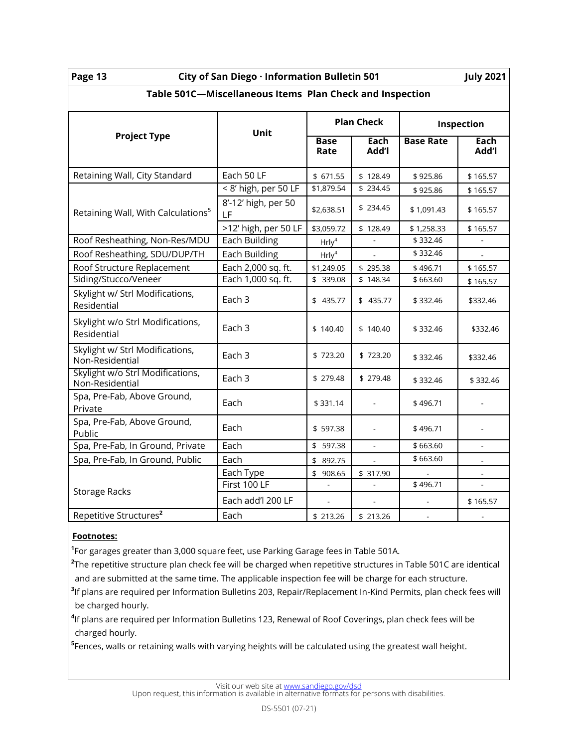| Page |  |
|------|--|
|      |  |

## **Page 13 City of San Diego · Information Bulletin 501 July 2021**

| Table 501C-Miscellaneous Items Plan Check and Inspection |                           |                     |                          |                  |                |  |  |
|----------------------------------------------------------|---------------------------|---------------------|--------------------------|------------------|----------------|--|--|
|                                                          | Unit                      | <b>Plan Check</b>   |                          | Inspection       |                |  |  |
| <b>Project Type</b>                                      |                           | <b>Base</b><br>Rate | Each<br>Add'l            | <b>Base Rate</b> | Each<br>Add'l  |  |  |
| Retaining Wall, City Standard                            | Each 50 LF                | \$ 671.55           | \$128.49                 | \$925.86         | \$165.57       |  |  |
|                                                          | < 8' high, per 50 LF      | \$1,879.54          | \$234.45                 | \$925.86         | \$165.57       |  |  |
| Retaining Wall, With Calculations <sup>5</sup>           | 8'-12' high, per 50<br>LF | \$2,638.51          | \$234.45                 | \$1,091.43       | \$165.57       |  |  |
|                                                          | >12' high, per 50 LF      | \$3,059.72          | \$128.49                 | \$1,258.33       | \$165.57       |  |  |
| Roof Resheathing, Non-Res/MDU                            | Each Building             | HrIy <sup>4</sup>   |                          | \$332.46         |                |  |  |
| Roof Resheathing, SDU/DUP/TH                             | Each Building             | HrIy <sup>4</sup>   |                          | \$332.46         |                |  |  |
| Roof Structure Replacement                               | Each 2,000 sq. ft.        | \$1,249.05          | \$295.38                 | \$496.71         | \$165.57       |  |  |
| Siding/Stucco/Veneer                                     | Each 1,000 sq. ft.        | \$ 339.08           | \$148.34                 | \$663.60         | \$165.57       |  |  |
| Skylight w/ Strl Modifications,<br>Residential           | Each 3                    | \$ 435.77           | \$435.77                 | \$332.46         | \$332.46       |  |  |
| Skylight w/o Strl Modifications,<br>Residential          | Each 3                    | \$140.40            | \$140.40                 | \$332.46         | \$332.46       |  |  |
| Skylight w/ Strl Modifications,<br>Non-Residential       | Each 3                    | \$723.20            | \$723.20                 | \$332.46         | \$332.46       |  |  |
| Skylight w/o Strl Modifications,<br>Non-Residential      | Each 3                    | \$ 279.48           | \$ 279.48                | \$332.46         | \$332.46       |  |  |
| Spa, Pre-Fab, Above Ground,<br>Private                   | Each                      | \$331.14            |                          | \$496.71         |                |  |  |
| Spa, Pre-Fab, Above Ground,<br>Public                    | Each                      | \$597.38            |                          | \$496.71         | ÷,             |  |  |
| Spa, Pre-Fab, In Ground, Private                         | Each                      | \$597.38            | $\overline{\phantom{a}}$ | \$663.60         | $\overline{a}$ |  |  |
| Spa, Pre-Fab, In Ground, Public                          | Each                      | 892.75<br>\$        |                          | \$663.60         |                |  |  |
|                                                          | Each Type                 | \$<br>908.65        | \$ 317.90                |                  |                |  |  |
|                                                          | First 100 LF              |                     |                          | \$496.71         |                |  |  |
| <b>Storage Racks</b>                                     | Each add'l 200 LF         |                     |                          |                  | \$165.57       |  |  |
| Repetitive Structures <sup>2</sup>                       | Each                      | \$ 213.26           | \$213.26                 | $\mathbb{Z}^+$   |                |  |  |

#### **Footnotes:**

**1** For garages greater than 3,000 square feet, use Parking Garage fees in Table 501A.

**2** The repetitive structure plan check fee will be charged when repetitive structures in Table 501C are identical and are submitted at the same time. The applicable inspection fee will be charge for each structure.

**3** If plans are required per Information Bulletins 203, Repair/Replacement In-Kind Permits, plan check fees will be charged hourly.

**4** If plans are required per Information Bulletins 123, Renewal of Roof Coverings, plan check fees will be charged hourly.

**5** Fences, walls or retaining walls with varying heights will be calculated using the greatest wall height.